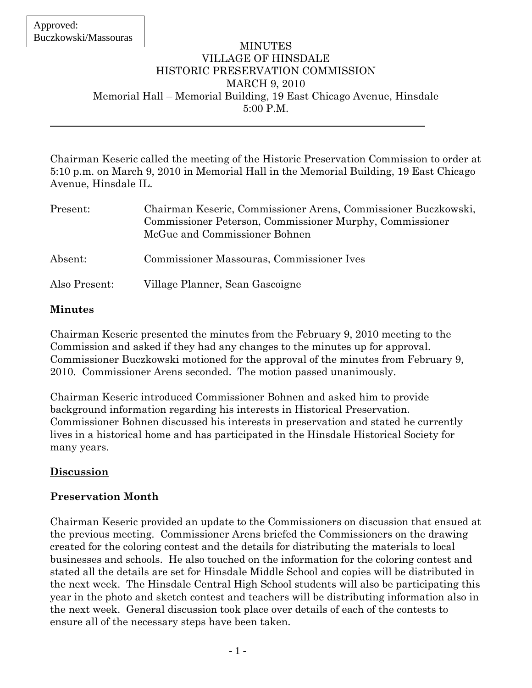## MINUTES VILLAGE OF HINSDALE HISTORIC PRESERVATION COMMISSION MARCH 9, 2010 Memorial Hall – Memorial Building, 19 East Chicago Avenue, Hinsdale 5:00 P.M.

Chairman Keseric called the meeting of the Historic Preservation Commission to order at 5:10 p.m. on March 9, 2010 in Memorial Hall in the Memorial Building, 19 East Chicago Avenue, Hinsdale IL.

| Present:      | Chairman Keseric, Commissioner Arens, Commissioner Buczkowski,<br>Commissioner Peterson, Commissioner Murphy, Commissioner<br>McGue and Commissioner Bohnen |
|---------------|-------------------------------------------------------------------------------------------------------------------------------------------------------------|
| Absent:       | Commissioner Massouras, Commissioner Ives                                                                                                                   |
| Also Present: | Village Planner, Sean Gascoigne                                                                                                                             |

# **Minutes**

Chairman Keseric presented the minutes from the February 9, 2010 meeting to the Commission and asked if they had any changes to the minutes up for approval. Commissioner Buczkowski motioned for the approval of the minutes from February 9, 2010. Commissioner Arens seconded. The motion passed unanimously.

Chairman Keseric introduced Commissioner Bohnen and asked him to provide background information regarding his interests in Historical Preservation. Commissioner Bohnen discussed his interests in preservation and stated he currently lives in a historical home and has participated in the Hinsdale Historical Society for many years.

# **Discussion**

# **Preservation Month**

Chairman Keseric provided an update to the Commissioners on discussion that ensued at the previous meeting. Commissioner Arens briefed the Commissioners on the drawing created for the coloring contest and the details for distributing the materials to local businesses and schools. He also touched on the information for the coloring contest and stated all the details are set for Hinsdale Middle School and copies will be distributed in the next week. The Hinsdale Central High School students will also be participating this year in the photo and sketch contest and teachers will be distributing information also in the next week. General discussion took place over details of each of the contests to ensure all of the necessary steps have been taken.